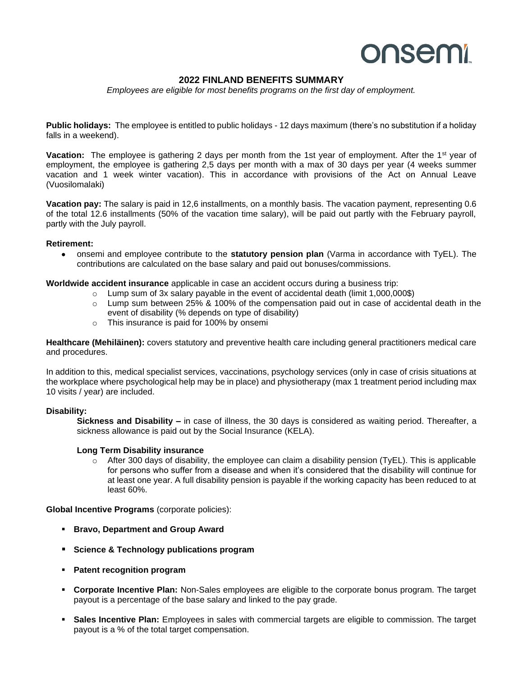# onsemi

# **2022 FINLAND BENEFITS SUMMARY**

*Employees are eligible for most benefits programs on the first day of employment.*

**Public holidays:** The employee is entitled to public holidays - 12 days maximum (there's no substitution if a holiday falls in a weekend).

**Vacation:** The employee is gathering 2 days per month from the 1st year of employment. After the 1<sup>st</sup> year of employment, the employee is gathering 2,5 days per month with a max of 30 days per year (4 weeks summer vacation and 1 week winter vacation). This in accordance with provisions of the Act on Annual Leave (Vuosilomalaki)

**Vacation pay:** The salary is paid in 12,6 installments, on a monthly basis. The vacation payment, representing 0.6 of the total 12.6 installments (50% of the vacation time salary), will be paid out partly with the February payroll, partly with the July payroll.

#### **Retirement:**

• onsemi and employee contribute to the **statutory pension plan** (Varma in accordance with TyEL). The contributions are calculated on the base salary and paid out bonuses/commissions.

**Worldwide accident insurance** applicable in case an accident occurs during a business trip:

- $\circ$  Lump sum of 3x salary payable in the event of accidental death (limit 1,000,000\$)
- $\circ$  Lump sum between 25% & 100% of the compensation paid out in case of accidental death in the event of disability (% depends on type of disability)
- o This insurance is paid for 100% by onsemi

**Healthcare (Mehiläinen):** covers statutory and preventive health care including general practitioners medical care and procedures.

In addition to this, medical specialist services, vaccinations, psychology services (only in case of crisis situations at the workplace where psychological help may be in place) and physiotherapy (max 1 treatment period including max 10 visits / year) are included.

## **Disability:**

**Sickness and Disability –** in case of illness, the 30 days is considered as waiting period. Thereafter, a sickness allowance is paid out by the Social Insurance (KELA).

#### **Long Term Disability insurance**

 $\circ$  After 300 days of disability, the employee can claim a disability pension (TyEL). This is applicable for persons who suffer from a disease and when it's considered that the disability will continue for at least one year. A full disability pension is payable if the working capacity has been reduced to at least 60%.

**Global Incentive Programs** (corporate policies):

- **Bravo, Department and Group Award**
- **Science & Technology publications program**
- **Patent recognition program**
- **Corporate Incentive Plan:** Non-Sales employees are eligible to the corporate bonus program. The target payout is a percentage of the base salary and linked to the pay grade.
- **Sales Incentive Plan:** Employees in sales with commercial targets are eligible to commission. The target payout is a % of the total target compensation.